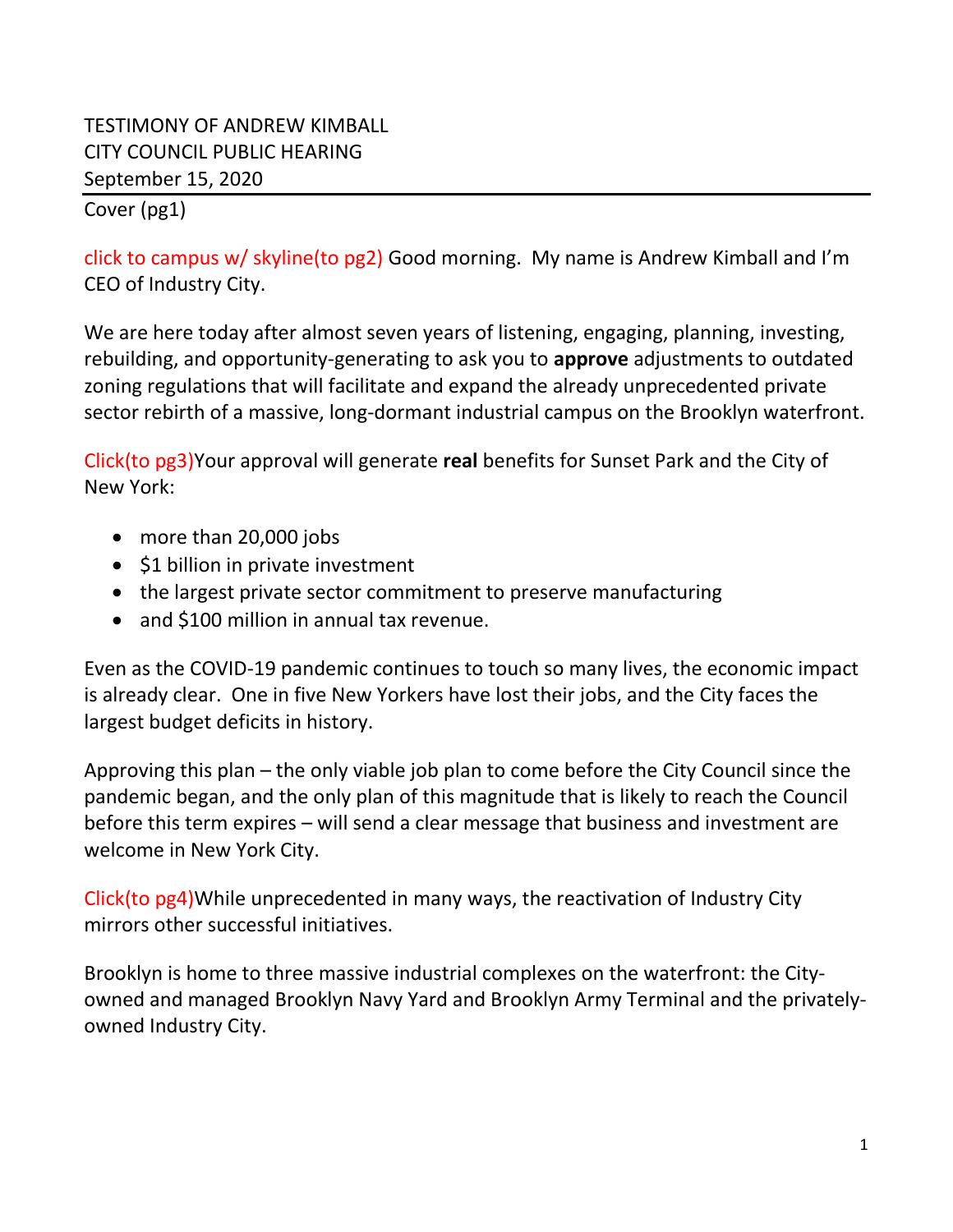# TESTIMONY OF ANDREW KIMBALL CITY COUNCIL PUBLIC HEARING September 15, 2020

#### Cover (pg1)

click to campus w/ skyline(to pg2) Good morning. My name is Andrew Kimball and I'm CEO of Industry City.

We are here today after almost seven years of listening, engaging, planning, investing, rebuilding, and opportunity-generating to ask you to **approve** adjustments to outdated zoning regulations that will facilitate and expand the already unprecedented private sector rebirth of a massive, long-dormant industrial campus on the Brooklyn waterfront.

Click(to pg3)Your approval will generate **real** benefits for Sunset Park and the City of New York:

- more than 20,000 jobs
- \$1 billion in private investment
- the largest private sector commitment to preserve manufacturing
- and \$100 million in annual tax revenue.

Even as the COVID-19 pandemic continues to touch so many lives, the economic impact is already clear. One in five New Yorkers have lost their jobs, and the City faces the largest budget deficits in history.

Approving this plan – the only viable job plan to come before the City Council since the pandemic began, and the only plan of this magnitude that is likely to reach the Council before this term expires – will send a clear message that business and investment are welcome in New York City.

Click(to pg4)While unprecedented in many ways, the reactivation of Industry City mirrors other successful initiatives.

Brooklyn is home to three massive industrial complexes on the waterfront: the Cityowned and managed Brooklyn Navy Yard and Brooklyn Army Terminal and the privatelyowned Industry City.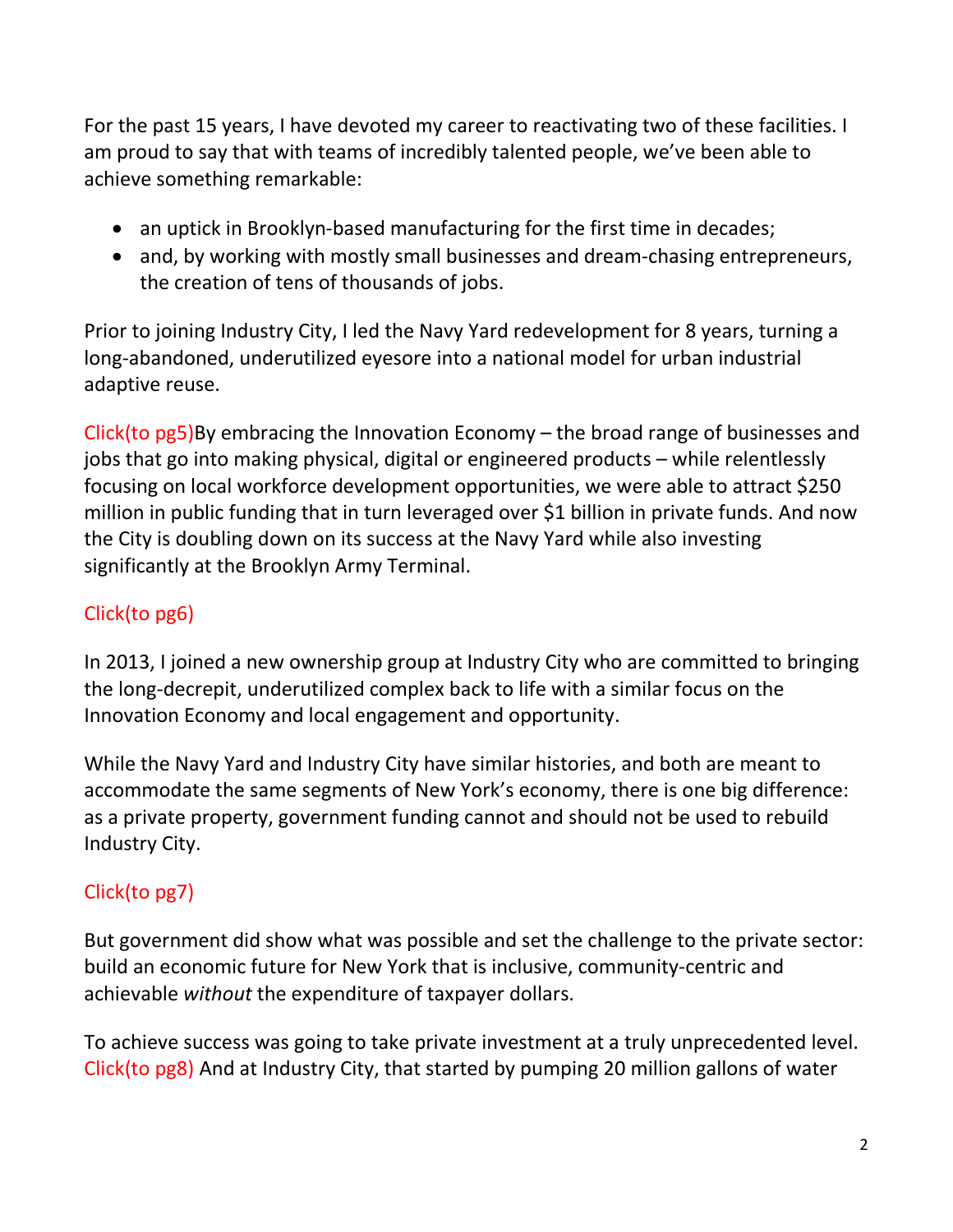For the past 15 years, I have devoted my career to reactivating two of these facilities. I am proud to say that with teams of incredibly talented people, we've been able to achieve something remarkable:

- an uptick in Brooklyn-based manufacturing for the first time in decades;
- and, by working with mostly small businesses and dream-chasing entrepreneurs, the creation of tens of thousands of jobs.

Prior to joining Industry City, I led the Navy Yard redevelopment for 8 years, turning a long-abandoned, underutilized eyesore into a national model for urban industrial adaptive reuse.

Click(to pg5)By embracing the Innovation Economy – the broad range of businesses and jobs that go into making physical, digital or engineered products – while relentlessly focusing on local workforce development opportunities, we were able to attract \$250 million in public funding that in turn leveraged over \$1 billion in private funds. And now the City is doubling down on its success at the Navy Yard while also investing significantly at the Brooklyn Army Terminal.

# Click(to pg6)

In 2013, I joined a new ownership group at Industry City who are committed to bringing the long-decrepit, underutilized complex back to life with a similar focus on the Innovation Economy and local engagement and opportunity.

While the Navy Yard and Industry City have similar histories, and both are meant to accommodate the same segments of New York's economy, there is one big difference: as a private property, government funding cannot and should not be used to rebuild Industry City.

# Click(to pg7)

But government did show what was possible and set the challenge to the private sector: build an economic future for New York that is inclusive, community-centric and achievable *without* the expenditure of taxpayer dollars.

To achieve success was going to take private investment at a truly unprecedented level. Click(to pg8) And at Industry City, that started by pumping 20 million gallons of water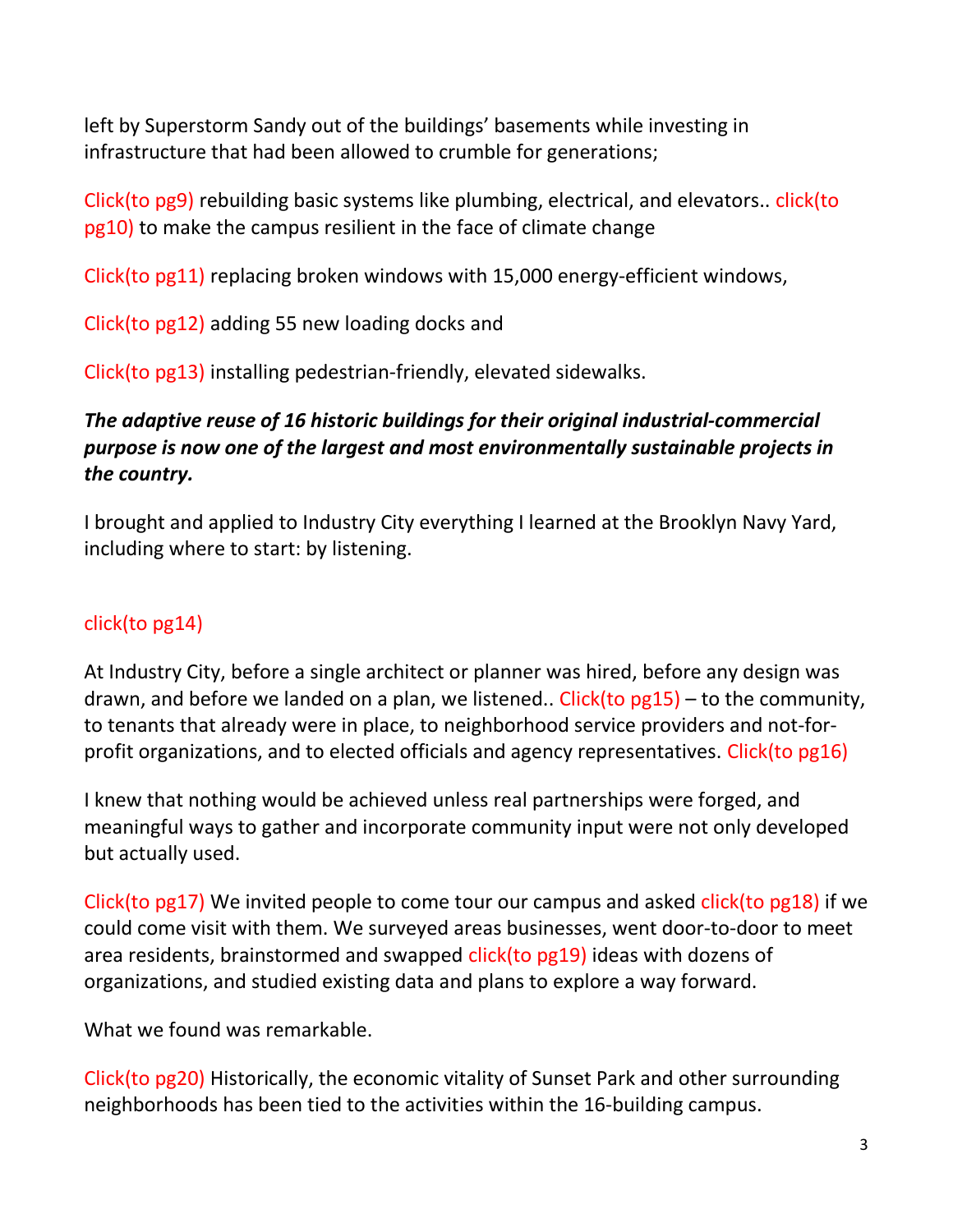left by Superstorm Sandy out of the buildings' basements while investing in infrastructure that had been allowed to crumble for generations;

Click(to pg9) rebuilding basic systems like plumbing, electrical, and elevators.. click(to pg10) to make the campus resilient in the face of climate change

Click(to pg11) replacing broken windows with 15,000 energy-efficient windows,

Click(to pg12) adding 55 new loading docks and

Click(to pg13) installing pedestrian-friendly, elevated sidewalks.

## *The adaptive reuse of 16 historic buildings for their original industrial-commercial purpose is now one of the largest and most environmentally sustainable projects in the country.*

I brought and applied to Industry City everything I learned at the Brooklyn Navy Yard, including where to start: by listening.

# click(to pg14)

At Industry City, before a single architect or planner was hired, before any design was drawn, and before we landed on a plan, we listened.. Click(to  $pg15$ ) – to the community, to tenants that already were in place, to neighborhood service providers and not-forprofit organizations, and to elected officials and agency representatives. Click(to pg16)

I knew that nothing would be achieved unless real partnerships were forged, and meaningful ways to gather and incorporate community input were not only developed but actually used.

Click(to pg17) We invited people to come tour our campus and asked click(to pg18) if we could come visit with them. We surveyed areas businesses, went door-to-door to meet area residents, brainstormed and swapped click(to pg19) ideas with dozens of organizations, and studied existing data and plans to explore a way forward.

What we found was remarkable.

Click(to pg20) Historically, the economic vitality of Sunset Park and other surrounding neighborhoods has been tied to the activities within the 16-building campus.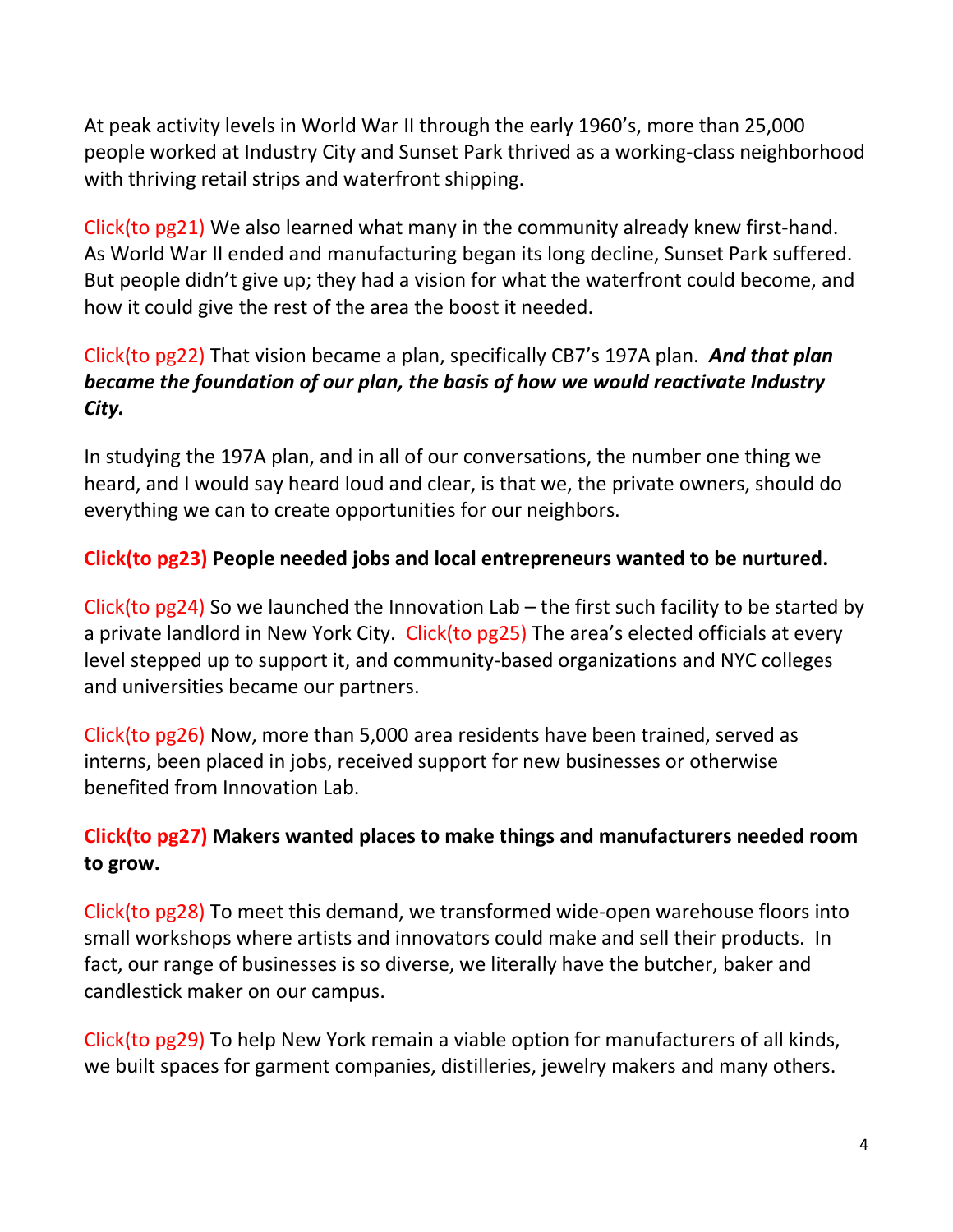At peak activity levels in World War II through the early 1960's, more than 25,000 people worked at Industry City and Sunset Park thrived as a working-class neighborhood with thriving retail strips and waterfront shipping.

Click(to pg21) We also learned what many in the community already knew first-hand. As World War II ended and manufacturing began its long decline, Sunset Park suffered. But people didn't give up; they had a vision for what the waterfront could become, and how it could give the rest of the area the boost it needed.

## Click(to pg22) That vision became a plan, specifically CB7's 197A plan. *And that plan became the foundation of our plan, the basis of how we would reactivate Industry City.*

In studying the 197A plan, and in all of our conversations, the number one thing we heard, and I would say heard loud and clear, is that we, the private owners, should do everything we can to create opportunities for our neighbors.

#### **Click(to pg23) People needed jobs and local entrepreneurs wanted to be nurtured.**

Click(to pg24) So we launched the Innovation Lab – the first such facility to be started by a private landlord in New York City. Click(to pg25) The area's elected officials at every level stepped up to support it, and community-based organizations and NYC colleges and universities became our partners.

Click(to pg26) Now, more than 5,000 area residents have been trained, served as interns, been placed in jobs, received support for new businesses or otherwise benefited from Innovation Lab.

## **Click(to pg27) Makers wanted places to make things and manufacturers needed room to grow.**

Click(to pg28) To meet this demand, we transformed wide-open warehouse floors into small workshops where artists and innovators could make and sell their products. In fact, our range of businesses is so diverse, we literally have the butcher, baker and candlestick maker on our campus.

Click(to pg29) To help New York remain a viable option for manufacturers of all kinds, we built spaces for garment companies, distilleries, jewelry makers and many others.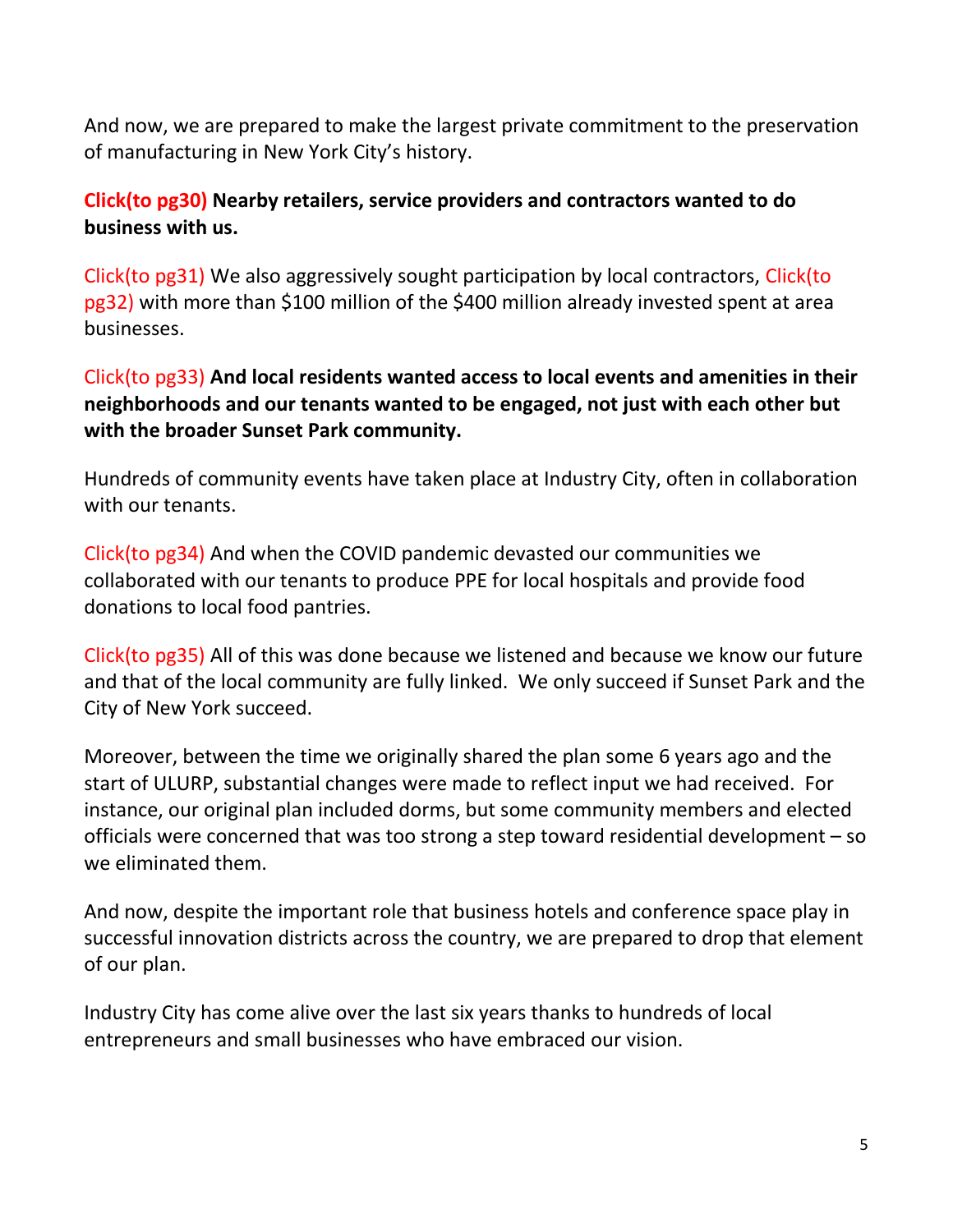And now, we are prepared to make the largest private commitment to the preservation of manufacturing in New York City's history.

#### **Click(to pg30) Nearby retailers, service providers and contractors wanted to do business with us.**

Click(to pg31) We also aggressively sought participation by local contractors, Click(to pg32) with more than \$100 million of the \$400 million already invested spent at area businesses.

## Click(to pg33) **And local residents wanted access to local events and amenities in their neighborhoods and our tenants wanted to be engaged, not just with each other but with the broader Sunset Park community.**

Hundreds of community events have taken place at Industry City, often in collaboration with our tenants.

Click(to pg34) And when the COVID pandemic devasted our communities we collaborated with our tenants to produce PPE for local hospitals and provide food donations to local food pantries.

Click(to pg35) All of this was done because we listened and because we know our future and that of the local community are fully linked. We only succeed if Sunset Park and the City of New York succeed.

Moreover, between the time we originally shared the plan some 6 years ago and the start of ULURP, substantial changes were made to reflect input we had received. For instance, our original plan included dorms, but some community members and elected officials were concerned that was too strong a step toward residential development – so we eliminated them.

And now, despite the important role that business hotels and conference space play in successful innovation districts across the country, we are prepared to drop that element of our plan.

Industry City has come alive over the last six years thanks to hundreds of local entrepreneurs and small businesses who have embraced our vision.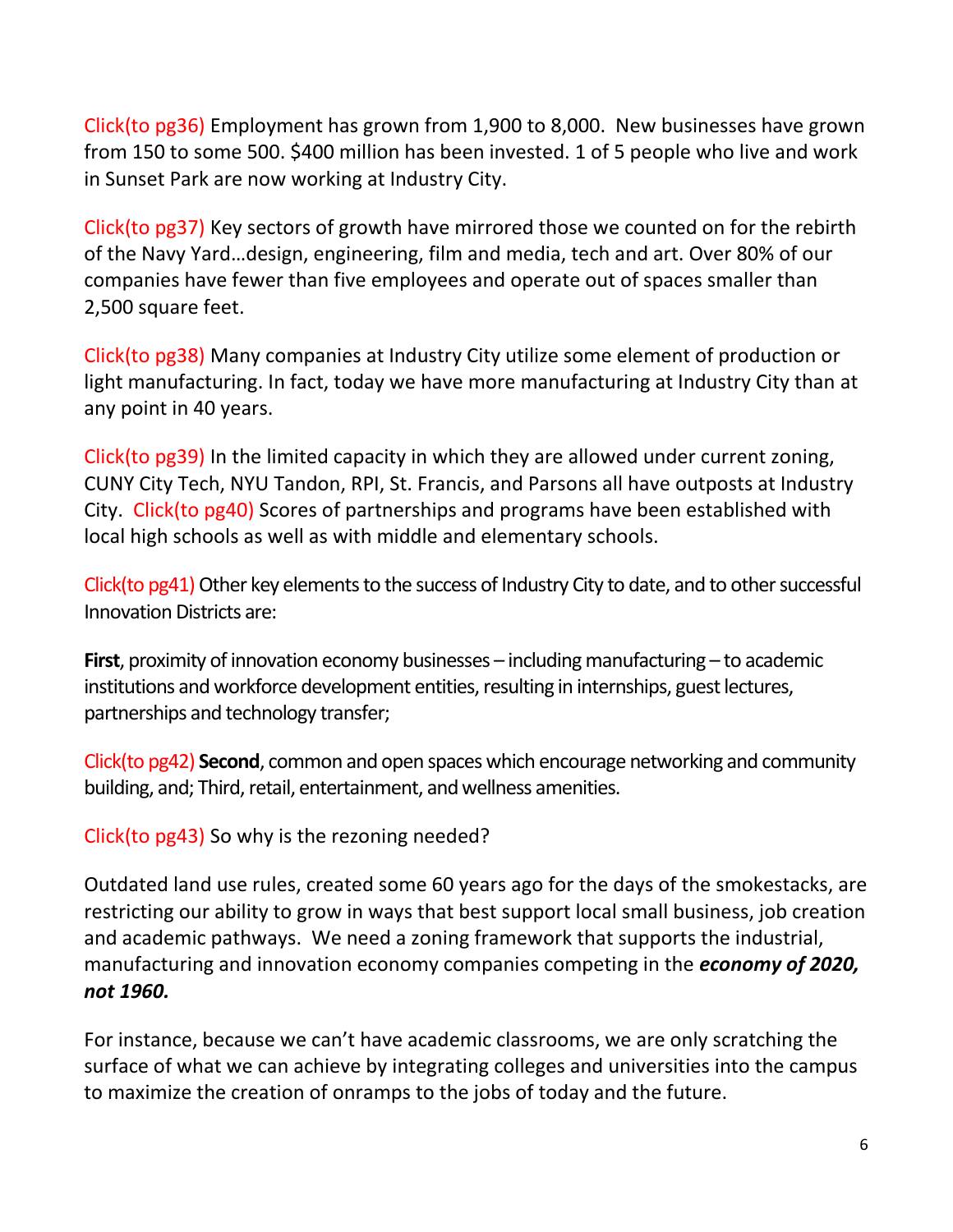Click(to pg36) Employment has grown from 1,900 to 8,000. New businesses have grown from 150 to some 500. \$400 million has been invested. 1 of 5 people who live and work in Sunset Park are now working at Industry City.

Click(to pg37) Key sectors of growth have mirrored those we counted on for the rebirth of the Navy Yard…design, engineering, film and media, tech and art. Over 80% of our companies have fewer than five employees and operate out of spaces smaller than 2,500 square feet.

Click(to pg38) Many companies at Industry City utilize some element of production or light manufacturing. In fact, today we have more manufacturing at Industry City than at any point in 40 years.

Click(to pg39) In the limited capacity in which they are allowed under current zoning, CUNY City Tech, NYU Tandon, RPI, St. Francis, and Parsons all have outposts at Industry City. Click(to pg40) Scores of partnerships and programs have been established with local high schools as well as with middle and elementary schools.

Click(to pg41) Other key elements to the success of Industry City to date, and to other successful Innovation Districts are:

**First**, proximity of innovation economy businesses – including manufacturing – to academic institutions and workforce development entities, resulting in internships, guest lectures, partnerships and technology transfer;

Click(to pg42) **Second**, common and open spaces which encourage networking and community building, and; Third, retail, entertainment, and wellness amenities.

Click(to pg43) So why is the rezoning needed?

Outdated land use rules, created some 60 years ago for the days of the smokestacks, are restricting our ability to grow in ways that best support local small business, job creation and academic pathways. We need a zoning framework that supports the industrial, manufacturing and innovation economy companies competing in the *economy of 2020, not 1960.*

For instance, because we can't have academic classrooms, we are only scratching the surface of what we can achieve by integrating colleges and universities into the campus to maximize the creation of onramps to the jobs of today and the future.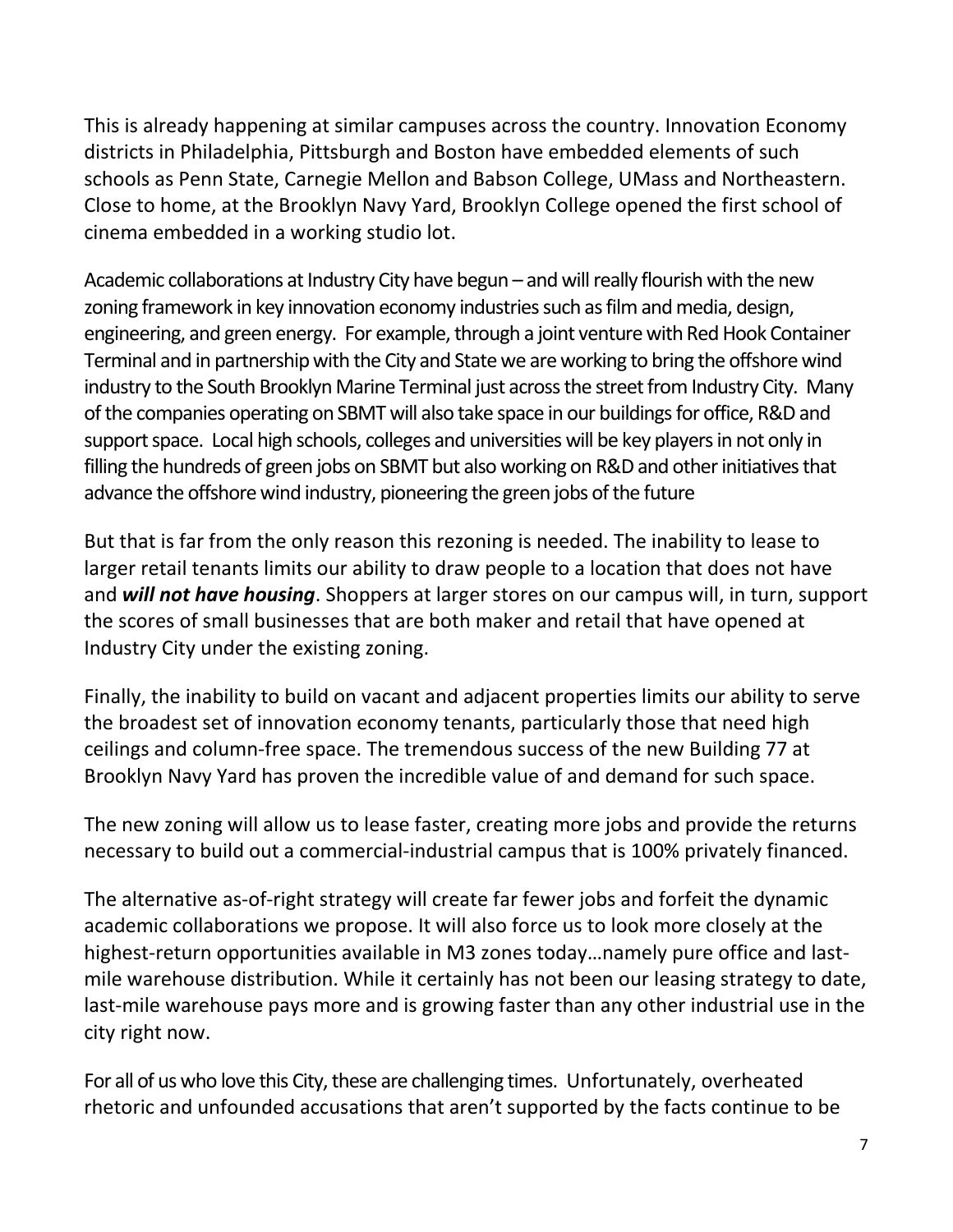This is already happening at similar campuses across the country. Innovation Economy districts in Philadelphia, Pittsburgh and Boston have embedded elements of such schools as Penn State, Carnegie Mellon and Babson College, UMass and Northeastern. Close to home, at the Brooklyn Navy Yard, Brooklyn College opened the first school of cinema embedded in a working studio lot.

Academic collaborations at Industry City have begun – and will really flourish with the new zoning framework in key innovation economy industries such as film and media, design, engineering, and green energy. For example, through a joint venture with Red Hook Container Terminal and in partnership with the City and State we are working to bring the offshore wind industry to the South Brooklyn Marine Terminal just across the street from Industry City. Many of the companies operating on SBMT will also take space in our buildings for office, R&D and support space. Local high schools, colleges and universities will be key players in not only in filling the hundreds of green jobs on SBMT but also working on R&D and other initiatives that advance the offshore wind industry, pioneering the green jobs of the future

But that is far from the only reason this rezoning is needed. The inability to lease to larger retail tenants limits our ability to draw people to a location that does not have and *will not have housing*. Shoppers at larger stores on our campus will, in turn, support the scores of small businesses that are both maker and retail that have opened at Industry City under the existing zoning.

Finally, the inability to build on vacant and adjacent properties limits our ability to serve the broadest set of innovation economy tenants, particularly those that need high ceilings and column-free space. The tremendous success of the new Building 77 at Brooklyn Navy Yard has proven the incredible value of and demand for such space.

The new zoning will allow us to lease faster, creating more jobs and provide the returns necessary to build out a commercial-industrial campus that is 100% privately financed.

The alternative as-of-right strategy will create far fewer jobs and forfeit the dynamic academic collaborations we propose. It will also force us to look more closely at the highest-return opportunities available in M3 zones today…namely pure office and lastmile warehouse distribution. While it certainly has not been our leasing strategy to date, last-mile warehouse pays more and is growing faster than any other industrial use in the city right now.

For all of us who love this City, these are challenging times. Unfortunately, overheated rhetoric and unfounded accusations that aren't supported by the facts continue to be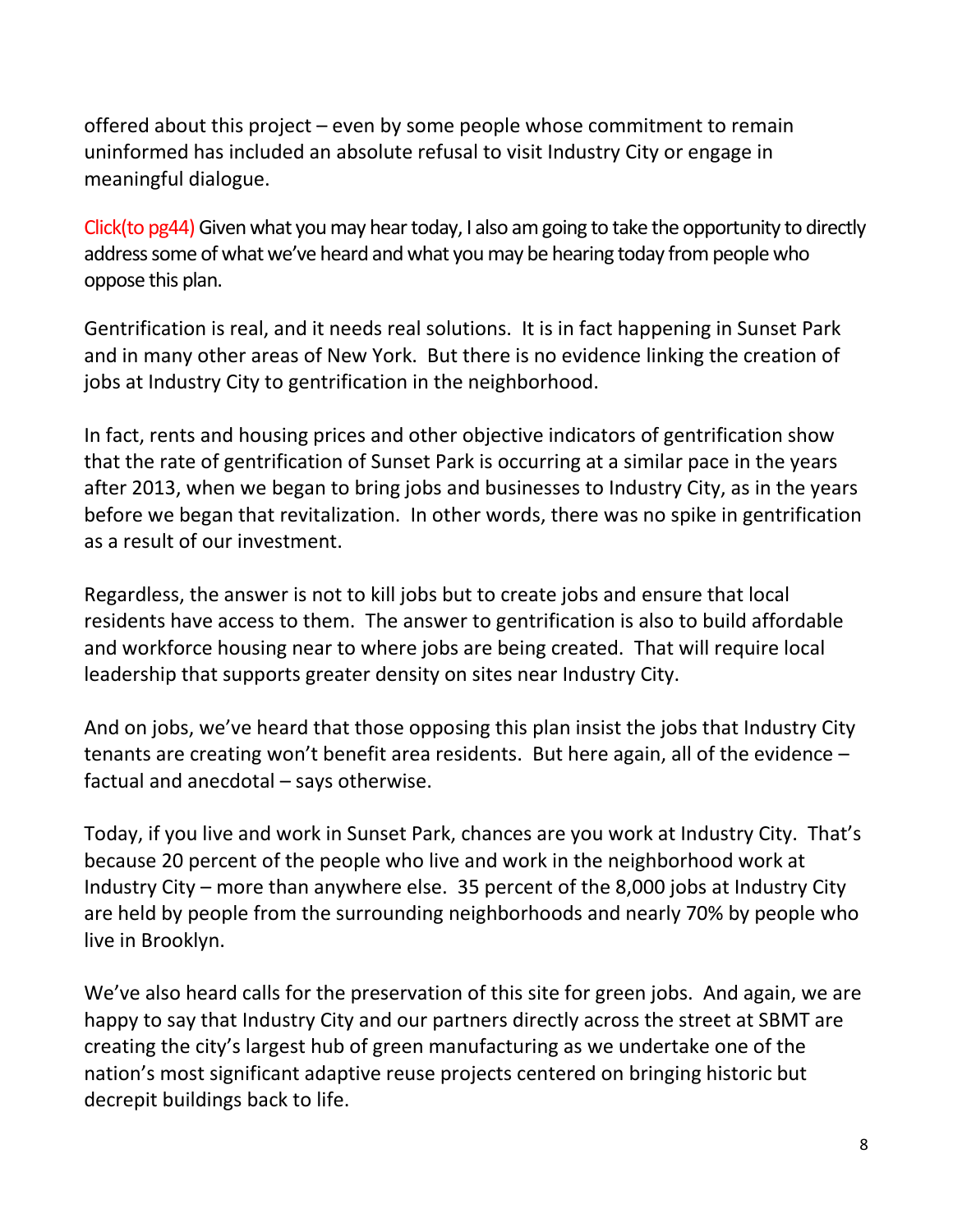offered about this project – even by some people whose commitment to remain uninformed has included an absolute refusal to visit Industry City or engage in meaningful dialogue.

Click(to pg44) Given what you may hear today, I also am going to take the opportunity to directly address some of what we've heard and what you may be hearing today from people who oppose this plan.

Gentrification is real, and it needs real solutions. It is in fact happening in Sunset Park and in many other areas of New York. But there is no evidence linking the creation of jobs at Industry City to gentrification in the neighborhood.

In fact, rents and housing prices and other objective indicators of gentrification show that the rate of gentrification of Sunset Park is occurring at a similar pace in the years after 2013, when we began to bring jobs and businesses to Industry City, as in the years before we began that revitalization. In other words, there was no spike in gentrification as a result of our investment.

Regardless, the answer is not to kill jobs but to create jobs and ensure that local residents have access to them. The answer to gentrification is also to build affordable and workforce housing near to where jobs are being created. That will require local leadership that supports greater density on sites near Industry City.

And on jobs, we've heard that those opposing this plan insist the jobs that Industry City tenants are creating won't benefit area residents. But here again, all of the evidence – factual and anecdotal – says otherwise.

Today, if you live and work in Sunset Park, chances are you work at Industry City. That's because 20 percent of the people who live and work in the neighborhood work at Industry City – more than anywhere else. 35 percent of the 8,000 jobs at Industry City are held by people from the surrounding neighborhoods and nearly 70% by people who live in Brooklyn.

We've also heard calls for the preservation of this site for green jobs. And again, we are happy to say that Industry City and our partners directly across the street at SBMT are creating the city's largest hub of green manufacturing as we undertake one of the nation's most significant adaptive reuse projects centered on bringing historic but decrepit buildings back to life.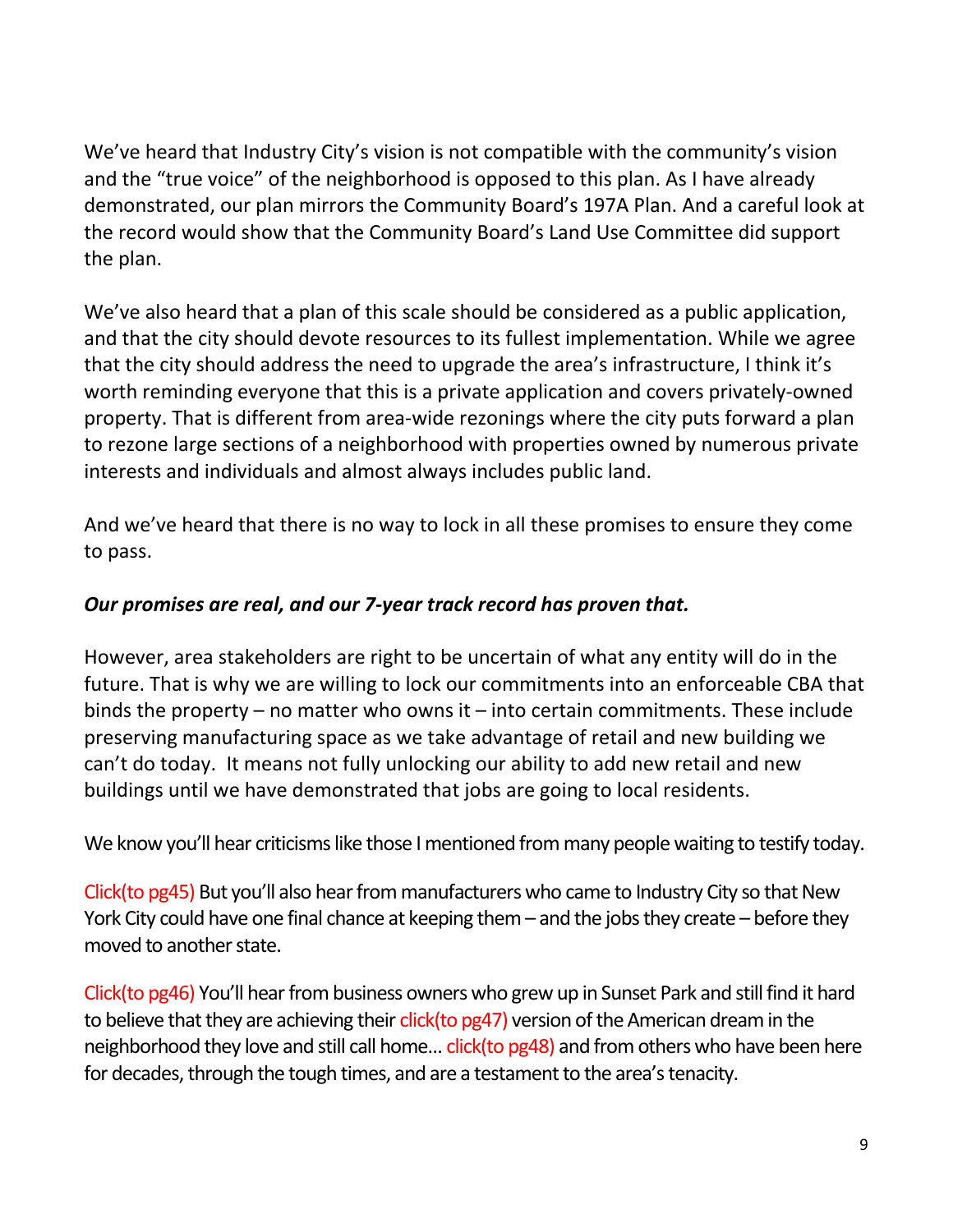We've heard that Industry City's vision is not compatible with the community's vision and the "true voice" of the neighborhood is opposed to this plan. As I have already demonstrated, our plan mirrors the Community Board's 197A Plan. And a careful look at the record would show that the Community Board's Land Use Committee did support the plan.

We've also heard that a plan of this scale should be considered as a public application, and that the city should devote resources to its fullest implementation. While we agree that the city should address the need to upgrade the area's infrastructure, I think it's worth reminding everyone that this is a private application and covers privately-owned property. That is different from area-wide rezonings where the city puts forward a plan to rezone large sections of a neighborhood with properties owned by numerous private interests and individuals and almost always includes public land.

And we've heard that there is no way to lock in all these promises to ensure they come to pass.

#### *Our promises are real, and our 7-year track record has proven that.*

However, area stakeholders are right to be uncertain of what any entity will do in the future. That is why we are willing to lock our commitments into an enforceable CBA that binds the property – no matter who owns it – into certain commitments. These include preserving manufacturing space as we take advantage of retail and new building we can't do today. It means not fully unlocking our ability to add new retail and new buildings until we have demonstrated that jobs are going to local residents.

We know you'll hear criticisms like those I mentioned from many people waiting to testify today.

Click(to pg45) But you'll also hear from manufacturers who came to Industry City so that New York City could have one final chance at keeping them – and the jobs they create – before they moved to another state.

Click(to pg46) You'll hear from business owners who grew up in Sunset Park and still find it hard to believe that they are achieving their click(to pg47) version of the American dream in the neighborhood they love and still call home... click(to pg48) and from others who have been here for decades, through the tough times, and are a testament to the area's tenacity.